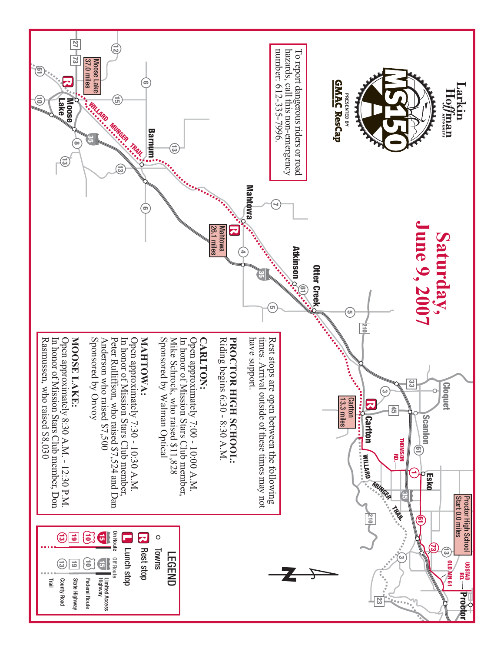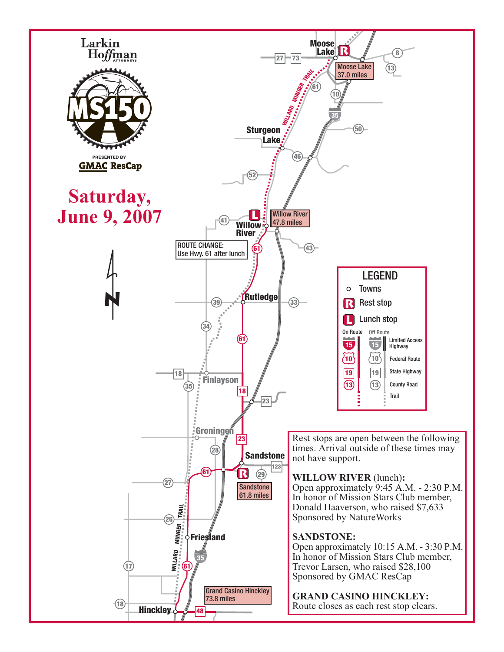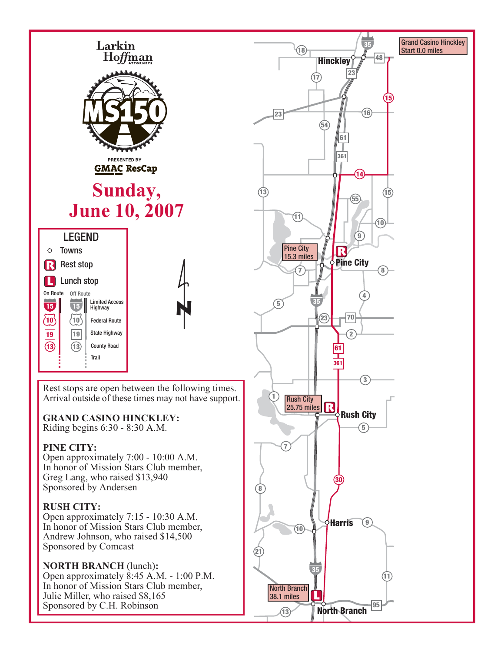

Rest stops are open between the following times. Arrival outside of these times may not have support.

# **GRAND CASINO HINCKLEY:**

Riding begins 6:30 - 8:30 A.M.

# **PINE CITY:**

Open approximately 7:00 - 10:00 A.M. In honor of Mission Stars Club member, Greg Lang, who raised \$13,940 Sponsored by Andersen

## **RUSH CITY:**

Open approximately 7:15 - 10:30 A.M. In honor of Mission Stars Club member, Andrew Johnson, who raised \$14,500 Sponsored by Comcast

# **NORTH BRANCH** (lunch)**:**

Open approximately 8:45 A.M. - 1:00 P.M. In honor of Mission Stars Club member, Julie Miller, who raised \$8,165 Sponsored by C.H. Robinson